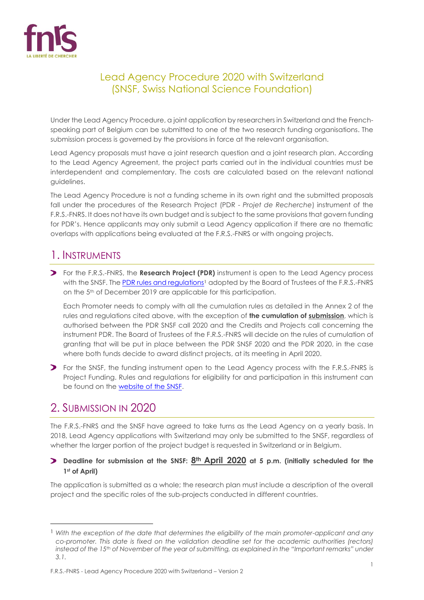

# Lead Agency Procedure 2020 with Switzerland (SNSF, Swiss National Science Foundation)

Under the Lead Agency Procedure, a joint application by researchers in Switzerland and the Frenchspeaking part of Belgium can be submitted to one of the two research funding organisations. The submission process is governed by the provisions in force at the relevant organisation.

Lead Agency proposals must have a joint research question and a joint research plan. According to the Lead Agency Agreement, the project parts carried out in the individual countries must be interdependent and complementary. The costs are calculated based on the relevant national guidelines.

The Lead Agency Procedure is not a funding scheme in its own right and the submitted proposals fall under the procedures of the Research Project (PDR - *Projet de Recherche*) instrument of the F.R.S.-FNRS. It does not have its own budget and is subject to the same provisions that govern funding for PDR's. Hence applicants may only submit a Lead Agency application if there are no thematic overlaps with applications being evaluated at the F.R.S.-FNRS or with ongoing projects.

# 1. INSTRUMENTS

For the F.R.S.-FNRS, the **Research Project (PDR)** instrument is open to the Lead Agency process with the SNSF. Th[e PDR rules and regulations](https://www.fnrs.be/docs/Reglement-et-documents/FRS-FNRS_REGL_PDR_EN.pdf)<sup>1</sup> adopted by the Board of Trustees of the F.R.S.-FNRS on the 5<sup>th</sup> of December 2019 are applicable for this participation.

Each Promoter needs to comply with all the cumulation rules as detailed in the Annex 2 of the rules and regulations cited above, with the exception of **the cumulation of submission**, which is authorised between the PDR SNSF call 2020 and the Credits and Projects call concerning the instrument PDR. The Board of Trustees of the F.R.S.-FNRS will decide on the rules of cumulation of granting that will be put in place between the PDR SNSF 2020 and the PDR 2020, in the case where both funds decide to award distinct projects, at its meeting in April 2020.

For the SNSF, the funding instrument open to the Lead Agency process with the F.R.S.-FNRS is Project Funding. Rules and regulations for eligibility for and participation in this instrument can be found on the [website of the SNSF.](http://www.snf.ch/en/funding/projects/lead-agency/belgien-wallonien/Pages/default.aspx)

# 2. SUBMISSION IN 2020

 $\overline{a}$ 

The F.R.S.-FNRS and the SNSF have agreed to take turns as the Lead Agency on a yearly basis. In 2018, Lead Agency applications with Switzerland may only be submitted to the SNSF, regardless of whether the larger portion of the project budget is requested in Switzerland or in Belgium.

### **Deadline for submission at the SNSF: 8th April 2020 at 5 p.m. (initially scheduled for the 1st of April)**

The application is submitted as a whole; the research plan must include a description of the overall project and the specific roles of the sub-projects conducted in different countries.

<sup>1</sup> *With the exception of the date that determines the eligibility of the main promoter-applicant and any co-promoter. This date is fixed on the validation deadline set for the academic authorities (rectors) instead of the 15th of November of the year of submitting, as explained in the "Important remarks" under 3.1.*